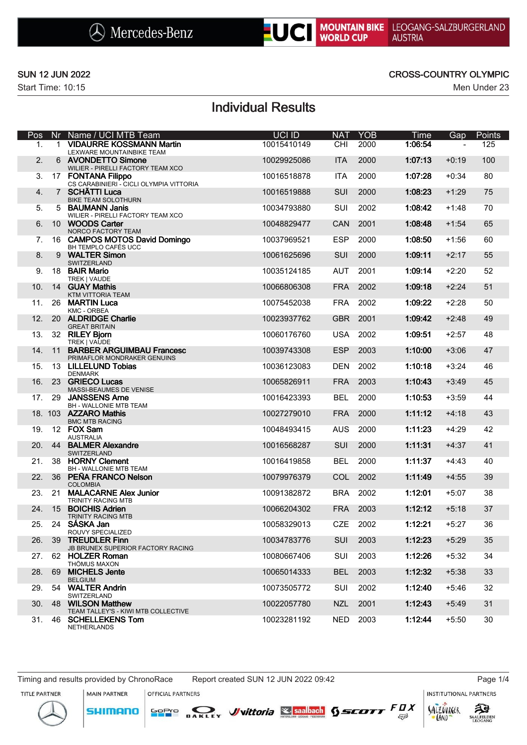



## SUN 12 JUN 2022 CROSS-COUNTRY OLYMPIC

# Individual Results

| Pos |                 | Nr Name / UCI MTB Team                                          | UCI ID      | <b>NAT</b> | <b>YOB</b> | Time    | Gap            | Points |
|-----|-----------------|-----------------------------------------------------------------|-------------|------------|------------|---------|----------------|--------|
| 1.  | $\mathbf{1}$    | <b>VIDAURRE KOSSMANN Martin</b><br>LEXWARE MOUNTAINBIKE TEAM    | 10015410149 | <b>CHI</b> | 2000       | 1:06:54 | $\blacksquare$ | 125    |
| 2.  |                 | 6 AVONDETTO Simone<br>WILIER - PIRELLI FACTORY TEAM XCO         | 10029925086 | <b>ITA</b> | 2000       | 1:07:13 | $+0:19$        | 100    |
| 3.  |                 | 17 FONTANA Filippo<br>CS CARABINIERI - CICLI OLYMPIA VITTORIA   | 10016518878 | <b>ITA</b> | 2000       | 1:07:28 | $+0:34$        | 80     |
| 4.  |                 | 7 SCHÄTTI Luca<br><b>BIKE TEAM SOLOTHURN</b>                    | 10016519888 | SUI        | 2000       | 1:08:23 | $+1:29$        | 75     |
| 5.  |                 | 5 BAUMANN Janis<br>WILIER - PIRELLI FACTORY TEAM XCO            | 10034793880 | SUI        | 2002       | 1:08:42 | +1:48          | 70     |
| 6.  |                 | 10 WOODS Carter<br>NORCO FACTORY TEAM                           | 10048829477 | CAN        | 2001       | 1:08:48 | $+1:54$        | 65     |
| 7.  |                 | 16 CAMPOS MOTOS David Domingo<br>BH TEMPLO CAFÉS UCC            | 10037969521 | <b>ESP</b> | 2000       | 1:08:50 | $+1:56$        | 60     |
| 8.  | 9               | <b>WALTER Simon</b><br>SWITZERLAND                              | 10061625696 | SUI        | 2000       | 1:09:11 | $+2:17$        | 55     |
| 9.  |                 | 18 BAIR Mario<br>TREK   VAUDE                                   | 10035124185 | <b>AUT</b> | 2001       | 1:09:14 | $+2:20$        | 52     |
| 10. | 14              | <b>GUAY Mathis</b><br>KTM VITTORIA TEAM                         | 10066806308 | <b>FRA</b> | 2002       | 1:09:18 | $+2:24$        | 51     |
| 11. | 26              | <b>MARTIN Luca</b><br><b>KMC - ORBEA</b>                        | 10075452038 | <b>FRA</b> | 2002       | 1:09:22 | $+2:28$        | 50     |
| 12. |                 | 20 ALDRIDGE Charlie<br><b>GREAT BRITAIN</b>                     | 10023937762 | <b>GBR</b> | 2001       | 1:09:42 | $+2:48$        | 49     |
| 13. |                 | 32 RILEY Bjorn<br>TREK   VAUDE                                  | 10060176760 | <b>USA</b> | 2002       | 1:09:51 | $+2:57$        | 48     |
| 14. | 11              | <b>BARBER ARGUIMBAU Francesc</b><br>PRIMAFLOR MONDRAKER GENUINS | 10039743308 | <b>ESP</b> | 2003       | 1:10:00 | $+3:06$        | 47     |
| 15. |                 | 13 LILLELUND Tobias<br><b>DENMARK</b>                           | 10036123083 | <b>DEN</b> | 2002       | 1:10:18 | $+3:24$        | 46     |
| 16. | 23              | <b>GRIECO Lucas</b><br>MASSI-BEAUMES DE VENISE                  | 10065826911 | <b>FRA</b> | 2003       | 1:10:43 | $+3:49$        | 45     |
| 17. | 29              | <b>JANSSENS Arne</b><br>BH - WALLONIE MTB TEAM                  | 10016423393 | <b>BEL</b> | 2000       | 1:10:53 | $+3:59$        | 44     |
|     |                 | 18. 103 AZZARO Mathis<br><b>BMC MTB RACING</b>                  | 10027279010 | <b>FRA</b> | 2000       | 1:11:12 | $+4:18$        | 43     |
| 19. |                 | 12 FOX Sam<br><b>AUSTRALIA</b>                                  | 10048493415 | <b>AUS</b> | 2000       | 1:11:23 | +4:29          | 42     |
| 20. |                 | 44 BALMER Alexandre<br>SWITZERLAND                              | 10016568287 | SUI        | 2000       | 1:11:31 | $+4:37$        | 41     |
| 21. |                 | 38 HORNY Clement<br>BH - WALLONIE MTB TEAM                      | 10016419858 | <b>BEL</b> | 2000       | 1:11:37 | +4:43          | 40     |
| 22. | 36              | PEÑA FRANCO Nelson<br><b>COLOMBIA</b>                           | 10079976379 | COL        | 2002       | 1:11:49 | $+4:55$        | 39     |
| 23. | 21              | <b>MALACARNE Alex Junior</b><br><b>TRINITY RACING MTB</b>       | 10091382872 | <b>BRA</b> | 2002       | 1:12:01 | +5:07          | 38     |
| 24. | 15 <sup>1</sup> | <b>BOICHIS Adrien</b><br><b>TRINITY RACING MTB</b>              | 10066204302 | <b>FRA</b> | 2003       | 1:12:12 | $+5:18$        | 37     |
| 25  |                 | 24 SÁSKA Jan<br>ROUVY SPECIALIZED                               | 10058329013 | CZE        | 2002       | 1:12:21 | $+5:27$        | 36     |
| 26. | 39              | <b>TREUDLER Finn</b><br>JB BRUNEX SUPERIOR FACTORY RACING       | 10034783776 | SUI        | 2003       | 1:12:23 | $+5:29$        | 35     |
| 27. |                 | 62 HOLZER Roman<br>THÖMUS MAXON                                 | 10080667406 | SUI        | 2003       | 1:12:26 | $+5:32$        | 34     |
| 28. | 69              | <b>MICHELS Jente</b><br><b>BELGIUM</b>                          | 10065014333 | <b>BEL</b> | 2003       | 1:12:32 | $+5:38$        | 33     |
| 29. |                 | 54 WALTER Andrin<br>SWITZERLAND                                 | 10073505772 | SUI        | 2002       | 1:12:40 | $+5:46$        | 32     |
| 30. | 48              | <b>WILSON Matthew</b><br>TEAM TALLEY'S - KIWI MTB COLLECTIVE    | 10022057780 | <b>NZL</b> | 2001       | 1:12:43 | $+5:49$        | 31     |
| 31. |                 | 46 SCHELLEKENS Tom<br>NETHERLANDS                               | 10023281192 | <b>NED</b> | 2003       | 1:12:44 | $+5:50$        | 30     |

Timing and results provided by ChronoRace Report created SUN 12 JUN 2022 09:42 Page 1/4

**SHIMANO** 

**MAIN PARTNER** OFFICIAL PARTNERS

SOPIO DAKLEY Vittoria & saabach SSCOTT FUX

**INSTITUTIONAL PARTNERS** 





 $53$ 

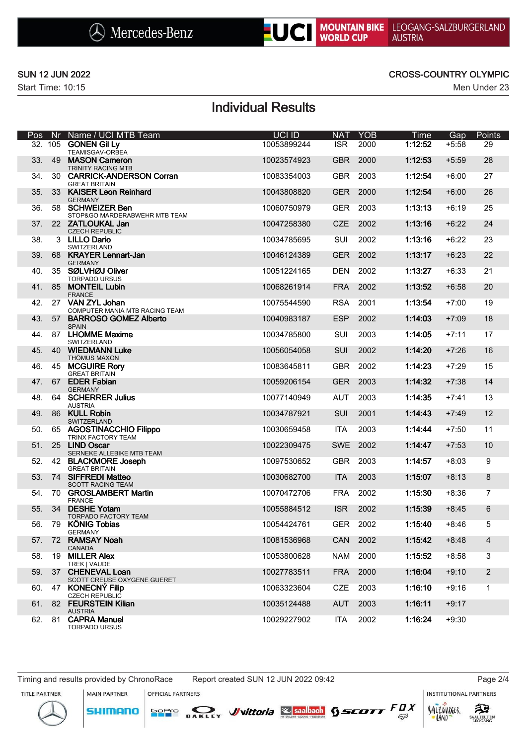



## SUN 12 JUN 2022 CROSS-COUNTRY OLYMPIC

# Individual Results

| Pos | Nr. | Name / UCI MTB Team                                    | <b>UCI ID</b> | <b>NAT</b> | <b>YOB</b> | Time    | Gap     | Points         |
|-----|-----|--------------------------------------------------------|---------------|------------|------------|---------|---------|----------------|
|     |     | 32. 105 GONEN Gil Ly<br>TEAMISGAV-ORBEA                | 10053899244   | <b>ISR</b> | 2000       | 1:12:52 | $+5:58$ | 29             |
| 33. | 49  | <b>MASON Cameron</b><br><b>TRINITY RACING MTB</b>      | 10023574923   | <b>GBR</b> | 2000       | 1:12:53 | $+5:59$ | 28             |
| 34. | 30  | <b>CARRICK-ANDERSON Corran</b><br><b>GREAT BRITAIN</b> | 10083354003   | <b>GBR</b> | 2003       | 1:12:54 | $+6:00$ | 27             |
| 35. |     | 33 KAISER Leon Reinhard<br><b>GERMANY</b>              | 10043808820   | <b>GER</b> | 2000       | 1:12:54 | $+6:00$ | 26             |
| 36. |     | 58 SCHWEIZER Ben<br>STOP&GO MARDERABWEHR MTB TEAM      | 10060750979   | <b>GER</b> | 2003       | 1:13:13 | $+6:19$ | 25             |
| 37. |     | 22 ZATLOUKAL Jan<br><b>CZECH REPUBLIC</b>              | 10047258380   | <b>CZE</b> | 2002       | 1:13:16 | $+6:22$ | 24             |
| 38. |     | 3 LILLO Dario<br>SWITZERLAND                           | 10034785695   | SUI        | 2002       | 1:13:16 | $+6:22$ | 23             |
| 39. | 68  | <b>KRAYER Lennart-Jan</b><br><b>GERMANY</b>            | 10046124389   | <b>GER</b> | 2002       | 1:13:17 | $+6:23$ | 22             |
| 40. |     | 35 SØLVHØJ Oliver<br><b>TORPADO URSUS</b>              | 10051224165   | <b>DEN</b> | 2002       | 1:13:27 | $+6:33$ | 21             |
| 41. | 85  | <b>MONTEIL Lubin</b><br><b>FRANCE</b>                  | 10068261914   | <b>FRA</b> | 2002       | 1:13:52 | $+6:58$ | 20             |
| 42. |     | 27 VAN ZYL Johan<br>COMPUTER MANIA MTB RACING TEAM     | 10075544590   | <b>RSA</b> | 2001       | 1:13:54 | $+7:00$ | 19             |
| 43. |     | 57 BARROSO GOMEZ Alberto<br><b>SPAIN</b>               | 10040983187   | <b>ESP</b> | 2002       | 1:14:03 | $+7:09$ | 18             |
| 44. |     | 87 LHOMME Maxime<br>SWITZERLAND                        | 10034785800   | SUI        | 2003       | 1:14:05 | $+7:11$ | 17             |
| 45. |     | 40 WIEDMANN Luke<br><b>THÖMUS MAXON</b>                | 10056054058   | SUI        | 2002       | 1:14:20 | $+7:26$ | 16             |
| 46. | 45  | <b>MCGUIRE Rory</b><br><b>GREAT BRITAIN</b>            | 10083645811   | <b>GBR</b> | 2002       | 1:14:23 | $+7:29$ | 15             |
| 47. |     | 67 EDER Fabian<br><b>GERMANY</b>                       | 10059206154   | <b>GER</b> | 2003       | 1:14:32 | $+7:38$ | 14             |
| 48. |     | 64 SCHERRER Julius<br><b>AUSTRIA</b>                   | 10077140949   | <b>AUT</b> | 2003       | 1:14:35 | $+7:41$ | 13             |
| 49. | 86  | <b>KULL Robin</b><br>SWITZERLAND                       | 10034787921   | SUI        | 2001       | 1:14:43 | $+7:49$ | 12             |
| 50. |     | 65 AGOSTINACCHIO Filippo<br>TRINX FACTORY TEAM         | 10030659458   | <b>ITA</b> | 2003       | 1:14:44 | $+7:50$ | 11             |
| 51. |     | 25 LIND Oscar<br>SERNEKE ALLEBIKE MTB TEAM             | 10022309475   | <b>SWE</b> | 2002       | 1:14:47 | $+7:53$ | 10             |
| 52. |     | 42 BLACKMORE Joseph<br><b>GREAT BRITAIN</b>            | 10097530652   | <b>GBR</b> | 2003       | 1:14:57 | $+8:03$ | 9              |
| 53. |     | 74 SIFFREDI Matteo<br><b>SCOTT RACING TEAM</b>         | 10030682700   | <b>ITA</b> | 2003       | 1:15:07 | $+8:13$ | $8\phantom{1}$ |
| 54. | 70  | <b>GROSLAMBERT Martin</b><br><b>FRANCE</b>             | 10070472706   | <b>FRA</b> | 2002       | 1:15:30 | $+8:36$ | $\overline{7}$ |
| 55. | 34  | <b>DESHE Yotam</b><br><b>TORPADO FACTORY TEAM</b>      | 10055884512   | <b>ISR</b> | 2002       | 1:15:39 | $+8:45$ | 6              |
| 56. | 79  | <b>KÖNIG Tobias</b><br><b>GERMANY</b>                  | 10054424761   | <b>GER</b> | 2002       | 1:15:40 | $+8:46$ | 5              |
| 57. | 72  | <b>RAMSAY Noah</b><br><b>CANADA</b>                    | 10081536968   | CAN        | 2002       | 1:15:42 | $+8:48$ | 4              |
| 58. | 19  | <b>MILLER Alex</b><br>TREK   VAUDE                     | 10053800628   | <b>NAM</b> | 2000       | 1:15:52 | $+8:58$ | 3              |
| 59. |     | 37 CHENEVAL Loan<br>SCOTT CREUSE OXYGENE GUERET        | 10027783511   | <b>FRA</b> | 2000       | 1:16:04 | $+9:10$ | $\overline{2}$ |
| 60. |     | 47 KONECNÝ Filip<br><b>CZECH REPUBLIC</b>              | 10063323604   | CZE        | 2003       | 1:16:10 | $+9:16$ | 1              |
| 61. |     | 82 FEURSTEIN Kilian<br><b>AUSTRIA</b>                  | 10035124488   | <b>AUT</b> | 2003       | 1:16:11 | $+9:17$ |                |
| 62. | 81. | <b>CAPRA Manuel</b><br><b>TORPADO URSUS</b>            | 10029227902   | <b>ITA</b> | 2002       | 1:16:24 | $+9:30$ |                |

**MAIN PARTNER** 

**SHIMANO** 

OFFICIAL PARTNERS

Timing and results provided by ChronoRace Report created SUN 12 JUN 2022 09:42 Page 2/4

**INSTITUTIONAL PARTNERS** 







 $53$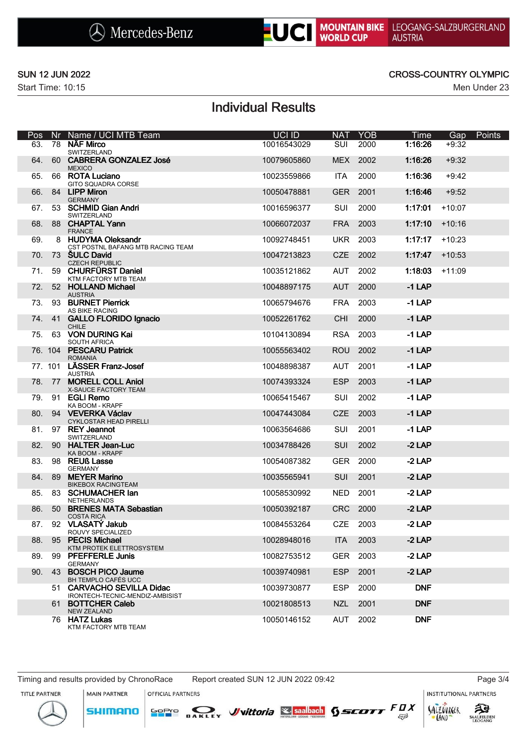

## SUN 12 JUN 2022 CROSS-COUNTRY OLYMPIC

# Individual Results

| Pos | Nr. | Name / UCI MTB Team                                          | <b>UCI ID</b> | <b>NAT</b> | <b>YOB</b> | Time       | Gap      | Points |
|-----|-----|--------------------------------------------------------------|---------------|------------|------------|------------|----------|--------|
| 63. | 78  | NÄF Mirco<br>SWITZERLAND                                     | 10016543029   | <b>SUI</b> | 2000       | 1:16:26    | $+9:32$  |        |
| 64. | 60  | <b>CABRERA GONZALEZ José</b><br><b>MEXICO</b>                | 10079605860   | <b>MEX</b> | 2002       | 1:16:26    | $+9:32$  |        |
| 65. |     | 66 ROTA Luciano<br><b>GITO SQUADRA CORSE</b>                 | 10023559866   | <b>ITA</b> | 2000       | 1:16:36    | $+9:42$  |        |
| 66. |     | 84 LIPP Miron<br><b>GERMANY</b>                              | 10050478881   | <b>GER</b> | 2001       | 1:16:46    | $+9:52$  |        |
| 67. |     | 53 SCHMID Gian Andri<br>SWITZERLAND                          | 10016596377   | SUI        | 2000       | 1:17:01    | $+10:07$ |        |
| 68. | 88  | <b>CHAPTAL Yann</b><br><b>FRANCE</b>                         | 10066072037   | <b>FRA</b> | 2003       | 1:17:10    | $+10:16$ |        |
| 69. |     | 8 HUDYMA Oleksandr<br>CST POSTNL BAFANG MTB RACING TEAM      | 10092748451   | <b>UKR</b> | 2003       | 1:17:17    | $+10:23$ |        |
| 70. |     | 73 SULC David<br><b>CZECH REPUBLIC</b>                       | 10047213823   | <b>CZE</b> | 2002       | 1:17:47    | $+10:53$ |        |
| 71. |     | 59 CHURFÜRST Daniel<br>KTM FACTORY MTB TEAM                  | 10035121862   | <b>AUT</b> | 2002       | 1:18:03    | $+11:09$ |        |
| 72. |     | 52 HOLLAND Michael<br><b>AUSTRIA</b>                         | 10048897175   | <b>AUT</b> | 2000       | $-1$ LAP   |          |        |
| 73. |     | 93 BURNET Pierrick<br>AS BIKE RACING                         | 10065794676   | <b>FRA</b> | 2003       | $-1$ LAP   |          |        |
| 74. | 41  | <b>GALLO FLORIDO Ignacio</b><br><b>CHILE</b>                 | 10052261762   | <b>CHI</b> | 2000       | $-1$ LAP   |          |        |
| 75. |     | 63 VON DURING Kai<br><b>SOUTH AFRICA</b>                     | 10104130894   | <b>RSA</b> | 2003       | $-1$ LAP   |          |        |
|     |     | 76. 104 PESCARU Patrick<br><b>ROMANIA</b>                    | 10055563402   | <b>ROU</b> | 2002       | $-1$ LAP   |          |        |
|     |     | 77. 101 LÄSSER Franz-Josef<br><b>AUSTRIA</b>                 | 10048898387   | <b>AUT</b> | 2001       | $-1$ LAP   |          |        |
| 78. |     | 77 MORELL COLL Aniol<br>X-SAUCE FACTORY TEAM                 | 10074393324   | <b>ESP</b> | 2003       | $-1$ LAP   |          |        |
| 79. |     | 91 EGLI Remo<br>KA BOOM - KRAPF                              | 10065415467   | SUI        | 2002       | $-1$ LAP   |          |        |
| 80. |     | 94 VEVERKA Václav<br><b>CYKLOSTAR HEAD PIRELLI</b>           | 10047443084   | <b>CZE</b> | 2003       | $-1$ LAP   |          |        |
| 81. |     | 97 REY Jeannot<br>SWITZERLAND                                | 10063564686   | SUI        | 2001       | $-1$ LAP   |          |        |
| 82. | 90  | <b>HALTER Jean-Luc</b><br>KA BOOM - KRAPF                    | 10034788426   | <b>SUI</b> | 2002       | $-2$ LAP   |          |        |
| 83. |     | 98 REUß Lasse<br><b>GERMANY</b>                              | 10054087382   | <b>GER</b> | 2000       | $-2$ LAP   |          |        |
| 84. | 89  | <b>MEYER Marino</b><br><b>BIKEBOX RACINGTEAM</b>             | 10035565941   | <b>SUI</b> | 2001       | $-2$ LAP   |          |        |
| 85. | 83  | <b>SCHUMACHER lan</b><br>NETHERLANDS                         | 10058530992   | <b>NED</b> | 2001       | $-2$ LAP   |          |        |
| 86. |     | 50 BRENES MATA Sebastian<br><b>COSTA RICA</b>                | 10050392187   | <b>CRC</b> | 2000       | $-2$ LAP   |          |        |
| 87. |     | 92 VLASATÝ Jakub<br>ROUVY SPECIALIZED                        | 10084553264   | CZE        | 2003       | $-2$ LAP   |          |        |
| 88. |     | 95 PECIS Michael<br>KTM PROTEK ELETTROSYSTEM                 | 10028948016   | <b>ITA</b> | 2003       | $-2$ LAP   |          |        |
| 89. | 99  | <b>PFEFFERLE Junis</b><br><b>GERMANY</b>                     | 10082753512   | <b>GER</b> | 2003       | $-2$ LAP   |          |        |
| 90. | 43  | <b>BOSCH PICO Jaume</b><br>BH TEMPLO CAFÉS UCC               | 10039740981   | <b>ESP</b> | 2001       | $-2$ LAP   |          |        |
|     |     | 51 CARVACHO SEVILLA Didac<br>IRONTECH-TECNIC-MENDIZ-AMBISIST | 10039730877   | <b>ESP</b> | 2000       | <b>DNF</b> |          |        |
|     |     | 61 BOTTCHER Caleb<br><b>NEW ZEALAND</b>                      | 10021808513   | <b>NZL</b> | 2001       | <b>DNF</b> |          |        |
|     |     | 76 HATZ Lukas<br>KTM FACTORY MTB TEAM                        | 10050146152   | AUT        | 2002       | <b>DNF</b> |          |        |

Timing and results provided by ChronoRace Report created SUN 12 JUN 2022 09:42 Page 3/4

**MAIN PARTNER** 

**SHIMANO** 

OFFICIAL PARTNERS

**INSTITUTIONAL PARTNERS** 

TITLE PARTNER